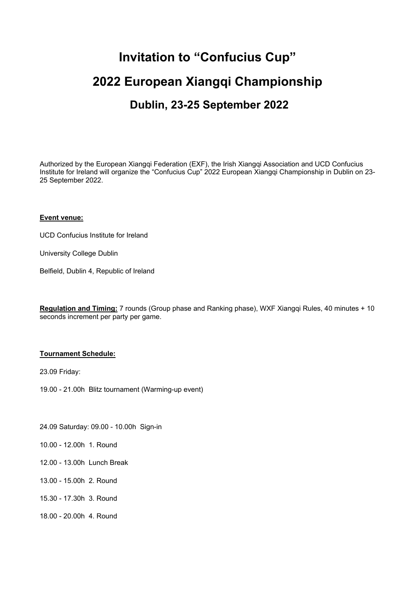# **Invitation to "Confucius Cup" 2022 European Xiangqi Championship Dublin, 23-25 September 2022**

Authorized by the European Xiangqi Federation (EXF), the Irish Xiangqi Association and UCD Confucius Institute for Ireland will organize the "Confucius Cup" 2022 European Xiangqi Championship in Dublin on 23- 25 September 2022.

## **Event venue:**

UCD Confucius Institute for Ireland

University College Dublin

Belfield, Dublin 4, Republic of Ireland

**Regulation and Timing:** 7 rounds (Group phase and Ranking phase), WXF Xiangqi Rules, 40 minutes + 10 seconds increment per party per game.

#### **Tournament Schedule:**

23.09 Friday:

19.00 - 21.00h Blitz tournament (Warming-up event)

24.09 Saturday: 09.00 - 10.00h Sign-in

10.00 - 12.00h 1. Round

- 12.00 13.00h Lunch Break
- 13.00 15.00h 2. Round
- 15.30 17.30h 3. Round
- 18.00 20.00h 4. Round